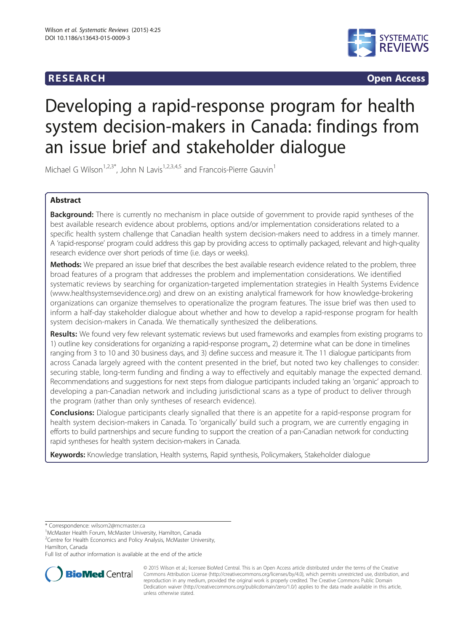## **RESEARCH CHINESEARCH CHINESEARCH CHINESE**



# Developing a rapid-response program for health system decision-makers in Canada: findings from an issue brief and stakeholder dialogue

Michael G Wilson<sup>1,2,3\*</sup>, John N Lavis<sup>1,2,3,4,5</sup> and Francois-Pierre Gauvin<sup>1</sup>

## Abstract

Background: There is currently no mechanism in place outside of government to provide rapid syntheses of the best available research evidence about problems, options and/or implementation considerations related to a specific health system challenge that Canadian health system decision-makers need to address in a timely manner. A 'rapid-response' program could address this gap by providing access to optimally packaged, relevant and high-quality research evidence over short periods of time (i.e. days or weeks).

Methods: We prepared an issue brief that describes the best available research evidence related to the problem, three broad features of a program that addresses the problem and implementation considerations. We identified systematic reviews by searching for organization-targeted implementation strategies in Health Systems Evidence ([www.healthsystemsevidence.org\)](http://www.healthsystemsevidence.org/) and drew on an existing analytical framework for how knowledge-brokering organizations can organize themselves to operationalize the program features. The issue brief was then used to inform a half-day stakeholder dialogue about whether and how to develop a rapid-response program for health system decision-makers in Canada. We thematically synthesized the deliberations.

Results: We found very few relevant systematic reviews but used frameworks and examples from existing programs to 1) outline key considerations for organizing a rapid-response program,, 2) determine what can be done in timelines ranging from 3 to 10 and 30 business days, and 3) define success and measure it. The 11 dialogue participants from across Canada largely agreed with the content presented in the brief, but noted two key challenges to consider: securing stable, long-term funding and finding a way to effectively and equitably manage the expected demand. Recommendations and suggestions for next steps from dialogue participants included taking an 'organic' approach to developing a pan-Canadian network and including jurisdictional scans as a type of product to deliver through the program (rather than only syntheses of research evidence).

**Conclusions:** Dialogue participants clearly signalled that there is an appetite for a rapid-response program for health system decision-makers in Canada. To 'organically' build such a program, we are currently engaging in efforts to build partnerships and secure funding to support the creation of a pan-Canadian network for conducting rapid syntheses for health system decision-makers in Canada.

Keywords: Knowledge translation, Health systems, Rapid synthesis, Policymakers, Stakeholder dialogue

\* Correspondence: [wilsom2@mcmaster.ca](mailto:wilsom2@mcmaster.ca) <sup>1</sup>

<sup>1</sup>McMaster Health Forum, McMaster University, Hamilton, Canada

<sup>2</sup> Centre for Health Economics and Policy Analysis, McMaster University, Hamilton, Canada

Full list of author information is available at the end of the article



© 2015 Wilson et al.; licensee BioMed Central. This is an Open Access article distributed under the terms of the Creative Commons Attribution License [\(http://creativecommons.org/licenses/by/4.0\)](http://creativecommons.org/licenses/by/4.0), which permits unrestricted use, distribution, and reproduction in any medium, provided the original work is properly credited. The Creative Commons Public Domain Dedication waiver [\(http://creativecommons.org/publicdomain/zero/1.0/](http://creativecommons.org/publicdomain/zero/1.0/)) applies to the data made available in this article, unless otherwise stated.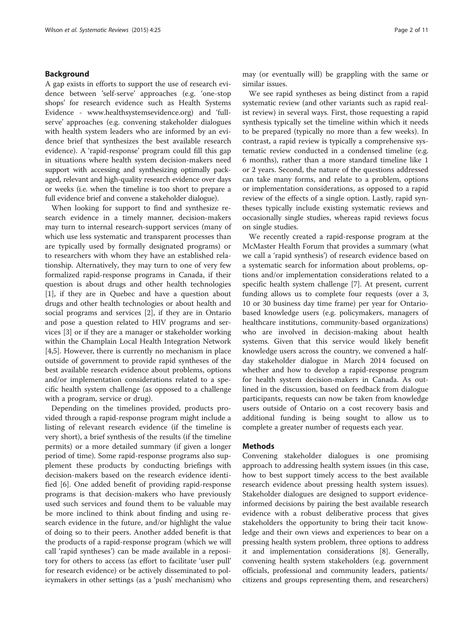#### Background

A gap exists in efforts to support the use of research evidence between 'self-serve' approaches (e.g. 'one-stop shops' for research evidence such as Health Systems Evidence - [www.healthsystemsevidence.org](http://www.healthsystemsevidence.org/)) and 'fullserve' approaches (e.g. convening stakeholder dialogues with health system leaders who are informed by an evidence brief that synthesizes the best available research evidence). A 'rapid-response' program could fill this gap in situations where health system decision-makers need support with accessing and synthesizing optimally packaged, relevant and high-quality research evidence over days or weeks (i.e. when the timeline is too short to prepare a full evidence brief and convene a stakeholder dialogue).

When looking for support to find and synthesize research evidence in a timely manner, decision-makers may turn to internal research-support services (many of which use less systematic and transparent processes than are typically used by formally designated programs) or to researchers with whom they have an established relationship. Alternatively, they may turn to one of very few formalized rapid-response programs in Canada, if their question is about drugs and other health technologies [[1\]](#page-9-0), if they are in Quebec and have a question about drugs and other health technologies or about health and social programs and services [[2\]](#page-9-0), if they are in Ontario and pose a question related to HIV programs and services [[3](#page-9-0)] or if they are a manager or stakeholder working within the Champlain Local Health Integration Network [[4,5\]](#page-9-0). However, there is currently no mechanism in place outside of government to provide rapid syntheses of the best available research evidence about problems, options and/or implementation considerations related to a specific health system challenge (as opposed to a challenge with a program, service or drug).

Depending on the timelines provided, products provided through a rapid-response program might include a listing of relevant research evidence (if the timeline is very short), a brief synthesis of the results (if the timeline permits) or a more detailed summary (if given a longer period of time). Some rapid-response programs also supplement these products by conducting briefings with decision-makers based on the research evidence identified [[6\]](#page-9-0). One added benefit of providing rapid-response programs is that decision-makers who have previously used such services and found them to be valuable may be more inclined to think about finding and using research evidence in the future, and/or highlight the value of doing so to their peers. Another added benefit is that the products of a rapid-response program (which we will call 'rapid syntheses') can be made available in a repository for others to access (as effort to facilitate 'user pull' for research evidence) or be actively disseminated to policymakers in other settings (as a 'push' mechanism) who may (or eventually will) be grappling with the same or similar issues.

We see rapid syntheses as being distinct from a rapid systematic review (and other variants such as rapid realist review) in several ways. First, those requesting a rapid synthesis typically set the timeline within which it needs to be prepared (typically no more than a few weeks). In contrast, a rapid review is typically a comprehensive systematic review conducted in a condensed timeline (e.g. 6 months), rather than a more standard timeline like 1 or 2 years. Second, the nature of the questions addressed can take many forms, and relate to a problem, options or implementation considerations, as opposed to a rapid review of the effects of a single option. Lastly, rapid syntheses typically include existing systematic reviews and occasionally single studies, whereas rapid reviews focus on single studies.

We recently created a rapid-response program at the McMaster Health Forum that provides a summary (what we call a 'rapid synthesis') of research evidence based on a systematic search for information about problems, options and/or implementation considerations related to a specific health system challenge [\[7](#page-9-0)]. At present, current funding allows us to complete four requests (over a 3, 10 or 30 business day time frame) per year for Ontariobased knowledge users (e.g. policymakers, managers of healthcare institutions, community-based organizations) who are involved in decision-making about health systems. Given that this service would likely benefit knowledge users across the country, we convened a halfday stakeholder dialogue in March 2014 focused on whether and how to develop a rapid-response program for health system decision-makers in Canada. As outlined in the discussion, based on feedback from dialogue participants, requests can now be taken from knowledge users outside of Ontario on a cost recovery basis and additional funding is being sought to allow us to complete a greater number of requests each year.

## Methods

Convening stakeholder dialogues is one promising approach to addressing health system issues (in this case, how to best support timely access to the best available research evidence about pressing health system issues). Stakeholder dialogues are designed to support evidenceinformed decisions by pairing the best available research evidence with a robust deliberative process that gives stakeholders the opportunity to bring their tacit knowledge and their own views and experiences to bear on a pressing health system problem, three options to address it and implementation considerations [\[8](#page-9-0)]. Generally, convening health system stakeholders (e.g. government officials, professional and community leaders, patients/ citizens and groups representing them, and researchers)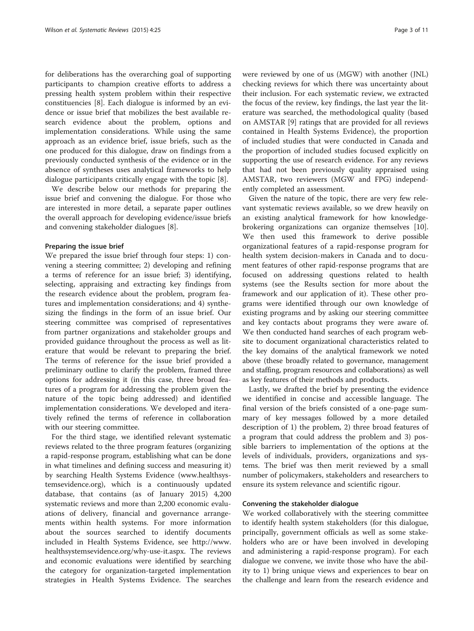for deliberations has the overarching goal of supporting participants to champion creative efforts to address a pressing health system problem within their respective constituencies [[8](#page-9-0)]. Each dialogue is informed by an evidence or issue brief that mobilizes the best available research evidence about the problem, options and implementation considerations. While using the same approach as an evidence brief, issue briefs, such as the one produced for this dialogue, draw on findings from a previously conducted synthesis of the evidence or in the absence of syntheses uses analytical frameworks to help dialogue participants critically engage with the topic [[8\]](#page-9-0).

We describe below our methods for preparing the issue brief and convening the dialogue. For those who are interested in more detail, a separate paper outlines the overall approach for developing evidence/issue briefs and convening stakeholder dialogues [[8](#page-9-0)].

#### Preparing the issue brief

We prepared the issue brief through four steps: 1) convening a steering committee; 2) developing and refining a terms of reference for an issue brief; 3) identifying, selecting, appraising and extracting key findings from the research evidence about the problem, program features and implementation considerations; and 4) synthesizing the findings in the form of an issue brief. Our steering committee was comprised of representatives from partner organizations and stakeholder groups and provided guidance throughout the process as well as literature that would be relevant to preparing the brief. The terms of reference for the issue brief provided a preliminary outline to clarify the problem, framed three options for addressing it (in this case, three broad features of a program for addressing the problem given the nature of the topic being addressed) and identified implementation considerations. We developed and iteratively refined the terms of reference in collaboration with our steering committee.

For the third stage, we identified relevant systematic reviews related to the three program features (organizing a rapid-response program, establishing what can be done in what timelines and defining success and measuring it) by searching Health Systems Evidence [\(www.healthsys](http://www.healthsystemsevidence.org/)[temsevidence.org](http://www.healthsystemsevidence.org/)), which is a continuously updated database, that contains (as of January 2015) 4,200 systematic reviews and more than 2,200 economic evaluations of delivery, financial and governance arrangements within health systems. For more information about the sources searched to identify documents included in Health Systems Evidence, see [http://www.](http://www.healthsystemsevidence.org/why-use-it.aspx) [healthsystemsevidence.org/why-use-it.aspx](http://www.healthsystemsevidence.org/why-use-it.aspx). The reviews and economic evaluations were identified by searching the category for organization-targeted implementation strategies in Health Systems Evidence. The searches were reviewed by one of us (MGW) with another (JNL) checking reviews for which there was uncertainty about their inclusion. For each systematic review, we extracted the focus of the review, key findings, the last year the literature was searched, the methodological quality (based on AMSTAR [[9\]](#page-9-0) ratings that are provided for all reviews contained in Health Systems Evidence), the proportion of included studies that were conducted in Canada and the proportion of included studies focused explicitly on supporting the use of research evidence. For any reviews that had not been previously quality appraised using AMSTAR, two reviewers (MGW and FPG) independently completed an assessment.

Given the nature of the topic, there are very few relevant systematic reviews available, so we drew heavily on an existing analytical framework for how knowledgebrokering organizations can organize themselves [\[10](#page-10-0)]. We then used this framework to derive possible organizational features of a rapid-response program for health system decision-makers in Canada and to document features of other rapid-response programs that are focused on addressing questions related to health systems (see the [Results](#page-3-0) section for more about the framework and our application of it). These other programs were identified through our own knowledge of existing programs and by asking our steering committee and key contacts about programs they were aware of. We then conducted hand searches of each program website to document organizational characteristics related to the key domains of the analytical framework we noted above (these broadly related to governance, management and staffing, program resources and collaborations) as well as key features of their methods and products.

Lastly, we drafted the brief by presenting the evidence we identified in concise and accessible language. The final version of the briefs consisted of a one-page summary of key messages followed by a more detailed description of 1) the problem, 2) three broad features of a program that could address the problem and 3) possible barriers to implementation of the options at the levels of individuals, providers, organizations and systems. The brief was then merit reviewed by a small number of policymakers, stakeholders and researchers to ensure its system relevance and scientific rigour.

#### Convening the stakeholder dialogue

We worked collaboratively with the steering committee to identify health system stakeholders (for this dialogue, principally, government officials as well as some stakeholders who are or have been involved in developing and administering a rapid-response program). For each dialogue we convene, we invite those who have the ability to 1) bring unique views and experiences to bear on the challenge and learn from the research evidence and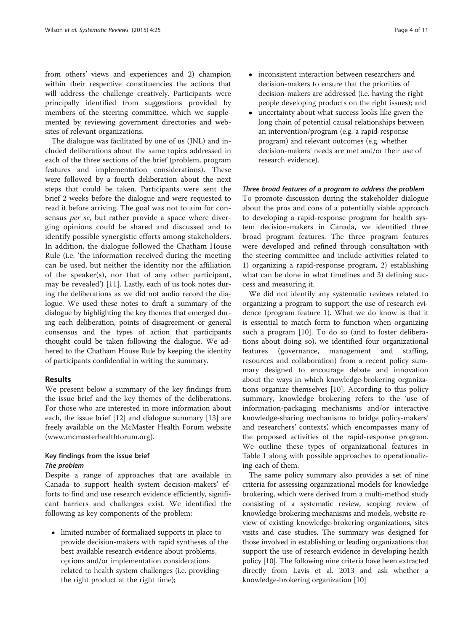<span id="page-3-0"></span>from others' views and experiences and 2) champion within their respective constituencies the actions that will address the challenge creatively. Participants were principally identified from suggestions provided by members of the steering committee, which we supplemented by reviewing government directories and websites of relevant organizations.

The dialogue was facilitated by one of us (JNL) and included deliberations about the same topics addressed in each of the three sections of the brief (problem, program features and implementation considerations). These were followed by a fourth deliberation about the next steps that could be taken. Participants were sent the brief 2 weeks before the dialogue and were requested to read it before arriving. The goal was not to aim for consensus per se, but rather provide a space where diverging opinions could be shared and discussed and to identify possible synergistic efforts among stakeholders. In addition, the dialogue followed the Chatham House Rule (i.e. 'the information received during the meeting can be used, but neither the identity nor the affiliation of the speaker(s), nor that of any other participant, may be revealed') [[11](#page-10-0)]. Lastly, each of us took notes during the deliberations as we did not audio record the dialogue. We used these notes to draft a summary of the dialogue by highlighting the key themes that emerged during each deliberation, points of disagreement or general consensus and the types of action that participants thought could be taken following the dialogue. We adhered to the Chatham House Rule by keeping the identity of participants confidential in writing the summary.

## Results

We present below a summary of the key findings from the issue brief and the key themes of the deliberations. For those who are interested in more information about each, the issue brief [\[12\]](#page-10-0) and dialogue summary [[13\]](#page-10-0) are freely available on the McMaster Health Forum website ([www.mcmasterhealthforum.org\)](http://www.mcmasterhealthforum.org/).

## Key findings from the issue brief The problem

Despite a range of approaches that are available in Canada to support health system decision-makers' efforts to find and use research evidence efficiently, significant barriers and challenges exist. We identified the following as key components of the problem:

• limited number of formalized supports in place to provide decision-makers with rapid syntheses of the best available research evidence about problems, options and/or implementation considerations related to health system challenges (i.e. providing the right product at the right time);

- inconsistent interaction between researchers and decision-makers to ensure that the priorities of decision-makers are addressed (i.e. having the right people developing products on the right issues); and
- uncertainty about what success looks like given the long chain of potential causal relationships between an intervention/program (e.g. a rapid-response program) and relevant outcomes (e.g. whether decision-makers' needs are met and/or their use of research evidence).

#### Three broad features of a program to address the problem

To promote discussion during the stakeholder dialogue about the pros and cons of a potentially viable approach to developing a rapid-response program for health system decision-makers in Canada, we identified three broad program features. The three program features were developed and refined through consultation with the steering committee and include activities related to 1) organizing a rapid-response program, 2) establishing what can be done in what timelines and 3) defining success and measuring it.

We did not identify any systematic reviews related to organizing a program to support the use of research evidence (program feature 1). What we do know is that it is essential to match form to function when organizing such a program [\[10](#page-10-0)]. To do so (and to foster deliberations about doing so), we identified four organizational features (governance, management and staffing, resources and collaboration) from a recent policy summary designed to encourage debate and innovation about the ways in which knowledge-brokering organizations organize themselves [\[10](#page-10-0)]. According to this policy summary, knowledge brokering refers to the 'use of information-packaging mechanisms and/or interactive knowledge-sharing mechanisms to bridge policy-makers' and researchers' contexts', which encompasses many of the proposed activities of the rapid-response program. We outline these types of organizational features in Table [1](#page-4-0) along with possible approaches to operationalizing each of them.

The same policy summary also provides a set of nine criteria for assessing organizational models for knowledge brokering, which were derived from a multi-method study consisting of a systematic review, scoping review of knowledge-brokering mechanisms and models, website review of existing knowledge-brokering organizations, sites visits and case studies. The summary was designed for those involved in establishing or leading organizations that support the use of research evidence in developing health policy [\[10\]](#page-10-0). The following nine criteria have been extracted directly from Lavis et al. 2013 and ask whether a knowledge-brokering organization [[10](#page-10-0)]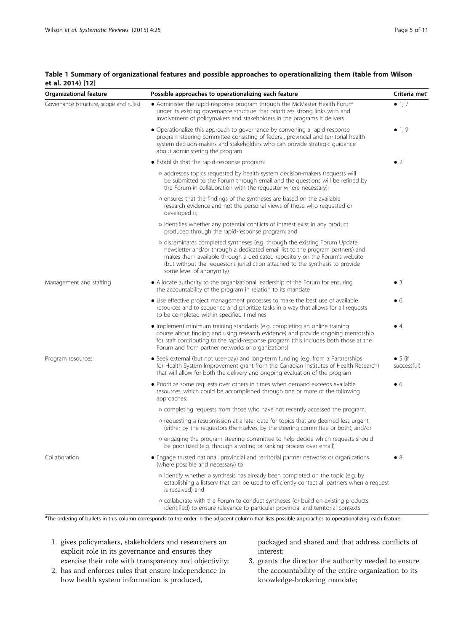## <span id="page-4-0"></span>Table 1 Summary of organizational features and possible approaches to operationalizing them (table from Wilson et al. 2014) [[12\]](#page-10-0)

| Organizational feature                  | Possible approaches to operationalizing each feature                                                                                                                                                                                                                                                                                                    | Criteria met <sup>a</sup>      |
|-----------------------------------------|---------------------------------------------------------------------------------------------------------------------------------------------------------------------------------------------------------------------------------------------------------------------------------------------------------------------------------------------------------|--------------------------------|
| Governance (structure, scope and rules) | • Administer the rapid-response program through the McMaster Health Forum<br>under its existing governance structure that prioritizes strong links with and<br>involvement of policymakers and stakeholders in the programs it delivers                                                                                                                 | $\bullet$ 1, 7                 |
|                                         | • Operationalize this approach to governance by convening a rapid-response<br>program steering committee consisting of federal, provincial and territorial health<br>system decision-makers and stakeholders who can provide strategic guidance<br>about administering the program                                                                      | • 1, 9                         |
|                                         | • Establish that the rapid-response program:                                                                                                                                                                                                                                                                                                            | $\bullet$ 2                    |
|                                         | o addresses topics requested by health system decision-makers (requests will<br>be submitted to the Forum through email and the questions will be refined by<br>the Forum in collaboration with the requestor where necessary);                                                                                                                         |                                |
|                                         | o ensures that the findings of the syntheses are based on the available<br>research evidence and not the personal views of those who requested or<br>developed it;                                                                                                                                                                                      |                                |
|                                         | o identifies whether any potential conflicts of interest exist in any product<br>produced through the rapid-response program; and                                                                                                                                                                                                                       |                                |
|                                         | ○ disseminates completed syntheses (e.g. through the existing Forum Update<br>newsletter and/or through a dedicated email list to the program partners) and<br>makes them available through a dedicated repository on the Forum's website<br>(but without the requestor's jurisdiction attached to the synthesis to provide<br>some level of anonymity) |                                |
| Management and staffing                 | • Allocate authority to the organizational leadership of the Forum for ensuring<br>the accountability of the program in relation to its mandate                                                                                                                                                                                                         | $\bullet$ 3                    |
|                                         | • Use effective project management processes to make the best use of available<br>resources and to sequence and prioritize tasks in a way that allows for all requests<br>to be completed within specified timelines                                                                                                                                    | $\bullet$ 6                    |
|                                         | • Implement minimum training standards (e.g. completing an online training<br>course about finding and using research evidence) and provide ongoing mentorship<br>for staff contributing to the rapid-response program (this includes both those at the<br>Forum and from partner networks or organizations)                                            | $\bullet$ 4                    |
| Program resources                       | • Seek external (but not user-pay) and long-term funding (e.g. from a Partnerships<br>for Health System Improvement grant from the Canadian Institutes of Health Research)<br>that will allow for both the delivery and ongoing evaluation of the program                                                                                               | $\bullet$ 5 (if<br>successful) |
|                                         | • Prioritize some requests over others in times when demand exceeds available<br>resources, which could be accomplished through one or more of the following<br>approaches:                                                                                                                                                                             | $\bullet$ 6                    |
|                                         | o completing requests from those who have not recently accessed the program;                                                                                                                                                                                                                                                                            |                                |
|                                         | o requesting a resubmission at a later date for topics that are deemed less urgent<br>(either by the requestors themselves, by the steering committee or both); and/or                                                                                                                                                                                  |                                |
|                                         | o engaging the program steering committee to help decide which requests should<br>be prioritized (e.g. through a voting or ranking process over email)                                                                                                                                                                                                  |                                |
| Collaboration                           | • Engage trusted national, provincial and territorial partner networks or organizations<br>(where possible and necessary) to                                                                                                                                                                                                                            | $\bullet$ 8                    |
|                                         | o identify whether a synthesis has already been completed on the topic (e.g. by<br>establishing a listserv that can be used to efficiently contact all partners when a request<br>is received) and                                                                                                                                                      |                                |
|                                         | o collaborate with the Forum to conduct syntheses (or build on existing products<br>identified) to ensure relevance to particular provincial and territorial contexts                                                                                                                                                                                   |                                |

<sup>a</sup>The ordering of bullets in this column corresponds to the order in the adjacent column that lists possible approaches to operationalizing each feature.

- 1. gives policymakers, stakeholders and researchers an explicit role in its governance and ensures they exercise their role with transparency and objectivity;
- 2. has and enforces rules that ensure independence in how health system information is produced,

packaged and shared and that address conflicts of interest;

3. grants the director the authority needed to ensure the accountability of the entire organization to its knowledge-brokering mandate;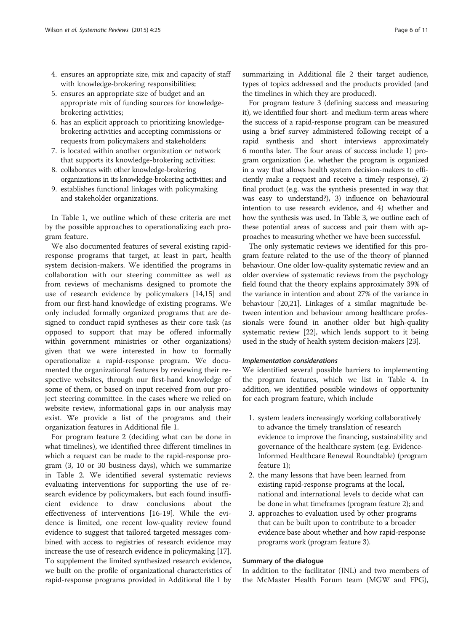- 4. ensures an appropriate size, mix and capacity of staff with knowledge-brokering responsibilities;
- 5. ensures an appropriate size of budget and an appropriate mix of funding sources for knowledgebrokering activities;
- 6. has an explicit approach to prioritizing knowledgebrokering activities and accepting commissions or requests from policymakers and stakeholders;
- 7. is located within another organization or network that supports its knowledge-brokering activities;
- 8. collaborates with other knowledge-brokering organizations in its knowledge-brokering activities; and
- 9. establishes functional linkages with policymaking and stakeholder organizations.

In Table [1,](#page-4-0) we outline which of these criteria are met by the possible approaches to operationalizing each program feature.

We also documented features of several existing rapidresponse programs that target, at least in part, health system decision-makers. We identified the programs in collaboration with our steering committee as well as from reviews of mechanisms designed to promote the use of research evidence by policymakers [\[14,15](#page-10-0)] and from our first-hand knowledge of existing programs. We only included formally organized programs that are designed to conduct rapid syntheses as their core task (as opposed to support that may be offered informally within government ministries or other organizations) given that we were interested in how to formally operationalize a rapid-response program. We documented the organizational features by reviewing their respective websites, through our first-hand knowledge of some of them, or based on input received from our project steering committee. In the cases where we relied on website review, informational gaps in our analysis may exist. We provide a list of the programs and their organization features in Additional file [1.](#page-9-0)

For program feature 2 (deciding what can be done in what timelines), we identified three different timelines in which a request can be made to the rapid-response program (3, 10 or 30 business days), which we summarize in Table [2](#page-6-0). We identified several systematic reviews evaluating interventions for supporting the use of research evidence by policymakers, but each found insufficient evidence to draw conclusions about the effectiveness of interventions [\[16-19](#page-10-0)]. While the evidence is limited, one recent low-quality review found evidence to suggest that tailored targeted messages combined with access to registries of research evidence may increase the use of research evidence in policymaking [[17](#page-10-0)]. To supplement the limited synthesized research evidence, we built on the profile of organizational characteristics of rapid-response programs provided in Additional file [1](#page-9-0) by

summarizing in Additional file [2](#page-9-0) their target audience, types of topics addressed and the products provided (and the timelines in which they are produced).

For program feature 3 (defining success and measuring it), we identified four short- and medium-term areas where the success of a rapid-response program can be measured using a brief survey administered following receipt of a rapid synthesis and short interviews approximately 6 months later. The four areas of success include 1) program organization (i.e. whether the program is organized in a way that allows health system decision-makers to efficiently make a request and receive a timely response), 2) final product (e.g. was the synthesis presented in way that was easy to understand?), 3) influence on behavioural intention to use research evidence, and 4) whether and how the synthesis was used. In Table [3](#page-7-0), we outline each of these potential areas of success and pair them with approaches to measuring whether we have been successful.

The only systematic reviews we identified for this program feature related to the use of the theory of planned behaviour. One older low-quality systematic review and an older overview of systematic reviews from the psychology field found that the theory explains approximately 39% of the variance in intention and about 27% of the variance in behaviour [\[20,21\]](#page-10-0). Linkages of a similar magnitude between intention and behaviour among healthcare professionals were found in another older but high-quality systematic review [\[22](#page-10-0)], which lends support to it being used in the study of health system decision-makers [[23](#page-10-0)].

#### Implementation considerations

We identified several possible barriers to implementing the program features, which we list in Table [4](#page-7-0). In addition, we identified possible windows of opportunity for each program feature, which include

- 1. system leaders increasingly working collaboratively to advance the timely translation of research evidence to improve the financing, sustainability and governance of the healthcare system (e.g. Evidence-Informed Healthcare Renewal Roundtable) (program feature 1);
- 2. the many lessons that have been learned from existing rapid-response programs at the local, national and international levels to decide what can be done in what timeframes (program feature 2); and
- 3. approaches to evaluation used by other programs that can be built upon to contribute to a broader evidence base about whether and how rapid-response programs work (program feature 3).

#### Summary of the dialogue

In addition to the facilitator (JNL) and two members of the McMaster Health Forum team (MGW and FPG),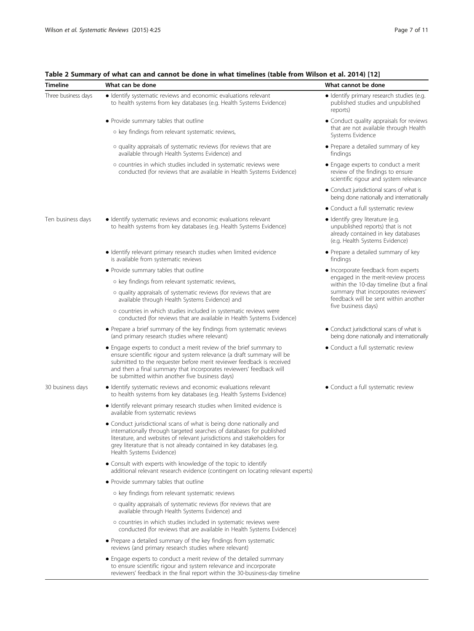| Timeline            | What can be done                                                                                                                                                                                                                                                                                                                                | What cannot be done                                                                                                                                                                                                          |  |
|---------------------|-------------------------------------------------------------------------------------------------------------------------------------------------------------------------------------------------------------------------------------------------------------------------------------------------------------------------------------------------|------------------------------------------------------------------------------------------------------------------------------------------------------------------------------------------------------------------------------|--|
| Three business days | • Identify systematic reviews and economic evaluations relevant<br>to health systems from key databases (e.g. Health Systems Evidence)                                                                                                                                                                                                          | · Identify primary research studies (e.g.<br>published studies and unpublished<br>reports)                                                                                                                                   |  |
|                     | • Provide summary tables that outline                                                                                                                                                                                                                                                                                                           | • Conduct quality appraisals for reviews<br>that are not available through Health<br>Systems Evidence                                                                                                                        |  |
|                     | o key findings from relevant systematic reviews,                                                                                                                                                                                                                                                                                                |                                                                                                                                                                                                                              |  |
|                     | o quality appraisals of systematic reviews (for reviews that are<br>available through Health Systems Evidence) and                                                                                                                                                                                                                              | • Prepare a detailed summary of key<br>findings                                                                                                                                                                              |  |
|                     | o countries in which studies included in systematic reviews were<br>conducted (for reviews that are available in Health Systems Evidence)                                                                                                                                                                                                       | • Engage experts to conduct a merit<br>review of the findings to ensure<br>scientific rigour and system relevance                                                                                                            |  |
|                     |                                                                                                                                                                                                                                                                                                                                                 | • Conduct jurisdictional scans of what is<br>being done nationally and internationally                                                                                                                                       |  |
|                     |                                                                                                                                                                                                                                                                                                                                                 | • Conduct a full systematic review                                                                                                                                                                                           |  |
| Ten business days   | • Identify systematic reviews and economic evaluations relevant<br>to health systems from key databases (e.g. Health Systems Evidence)                                                                                                                                                                                                          | · Identify grey literature (e.g.<br>unpublished reports) that is not<br>already contained in key databases<br>(e.g. Health Systems Evidence)                                                                                 |  |
|                     | · Identify relevant primary research studies when limited evidence<br>is available from systematic reviews                                                                                                                                                                                                                                      | • Prepare a detailed summary of key<br>findings                                                                                                                                                                              |  |
|                     | • Provide summary tables that outline                                                                                                                                                                                                                                                                                                           | • Incorporate feedback from experts<br>engaged in the merit-review process<br>within the 10-day timeline (but a final<br>summary that incorporates reviewers'<br>feedback will be sent within another<br>five business days) |  |
|                     | o key findings from relevant systematic reviews,                                                                                                                                                                                                                                                                                                |                                                                                                                                                                                                                              |  |
|                     | o quality appraisals of systematic reviews (for reviews that are<br>available through Health Systems Evidence) and                                                                                                                                                                                                                              |                                                                                                                                                                                                                              |  |
|                     | o countries in which studies included in systematic reviews were<br>conducted (for reviews that are available in Health Systems Evidence)                                                                                                                                                                                                       |                                                                                                                                                                                                                              |  |
|                     | • Prepare a brief summary of the key findings from systematic reviews<br>(and primary research studies where relevant)                                                                                                                                                                                                                          | • Conduct jurisdictional scans of what is<br>being done nationally and internationally                                                                                                                                       |  |
|                     | • Engage experts to conduct a merit review of the brief summary to<br>ensure scientific rigour and system relevance (a draft summary will be<br>submitted to the requester before merit reviewer feedback is received<br>and then a final summary that incorporates reviewers' feedback will<br>be submitted within another five business days) | • Conduct a full systematic review                                                                                                                                                                                           |  |
| 30 business days    | • Identify systematic reviews and economic evaluations relevant<br>to health systems from key databases (e.g. Health Systems Evidence)                                                                                                                                                                                                          | • Conduct a full systematic review                                                                                                                                                                                           |  |
|                     | • Identify relevant primary research studies when limited evidence is<br>available from systematic reviews                                                                                                                                                                                                                                      |                                                                                                                                                                                                                              |  |
|                     | • Conduct jurisdictional scans of what is being done nationally and<br>internationally through targeted searches of databases for published<br>literature, and websites of relevant jurisdictions and stakeholders for<br>grey literature that is not already contained in key databases (e.g.<br>Health Systems Evidence)                      |                                                                                                                                                                                                                              |  |
|                     | • Consult with experts with knowledge of the topic to identify<br>additional relevant research evidence (contingent on locating relevant experts)                                                                                                                                                                                               |                                                                                                                                                                                                                              |  |
|                     | • Provide summary tables that outline                                                                                                                                                                                                                                                                                                           |                                                                                                                                                                                                                              |  |
|                     | o key findings from relevant systematic reviews                                                                                                                                                                                                                                                                                                 |                                                                                                                                                                                                                              |  |
|                     | o quality appraisals of systematic reviews (for reviews that are<br>available through Health Systems Evidence) and                                                                                                                                                                                                                              |                                                                                                                                                                                                                              |  |
|                     | o countries in which studies included in systematic reviews were<br>conducted (for reviews that are available in Health Systems Evidence)                                                                                                                                                                                                       |                                                                                                                                                                                                                              |  |
|                     | • Prepare a detailed summary of the key findings from systematic<br>reviews (and primary research studies where relevant)                                                                                                                                                                                                                       |                                                                                                                                                                                                                              |  |
|                     | • Engage experts to conduct a merit review of the detailed summary<br>to ensure scientific rigour and system relevance and incorporate<br>reviewers' feedback in the final report within the 30-business-day timeline                                                                                                                           |                                                                                                                                                                                                                              |  |

#### <span id="page-6-0"></span>Table 2 Summary of what can and cannot be done in what timelines (table from Wilson et al. 2014) [\[12\]](#page-10-0)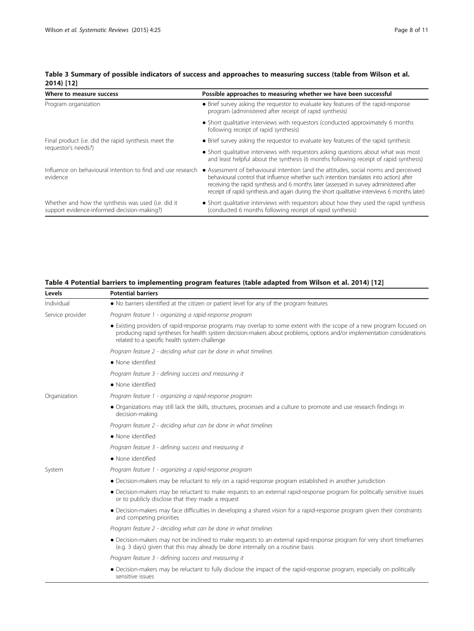| Where to measure success                                                                           | Possible approaches to measuring whether we have been successful                                                                                                                                                                                                                                                                                                           |  |
|----------------------------------------------------------------------------------------------------|----------------------------------------------------------------------------------------------------------------------------------------------------------------------------------------------------------------------------------------------------------------------------------------------------------------------------------------------------------------------------|--|
| Program organization                                                                               | • Brief survey asking the requestor to evaluate key features of the rapid-response<br>program (administered after receipt of rapid synthesis)                                                                                                                                                                                                                              |  |
|                                                                                                    | • Short qualitative interviews with requestors (conducted approximately 6 months<br>following receipt of rapid synthesis)                                                                                                                                                                                                                                                  |  |
| Final product (i.e. did the rapid synthesis meet the                                               | • Brief survey asking the requestor to evaluate key features of the rapid synthesis                                                                                                                                                                                                                                                                                        |  |
| requestor's needs?)                                                                                | • Short qualitative interviews with requestors asking questions about what was most<br>and least helpful about the synthesis (6 months following receipt of rapid synthesis)                                                                                                                                                                                               |  |
| Influence on behavioural intention to find and use research<br>evidence                            | • Assessment of behavioural intention (and the attitudes, social norms and perceived<br>behavioural control that influence whether such intention translates into action) after<br>receiving the rapid synthesis and 6 months later (assessed in survey administered after<br>receipt of rapid synthesis and again during the short qualitative interviews 6 months later) |  |
| Whether and how the synthesis was used (i.e. did it<br>support evidence-informed decision-making?) | • Short qualitative interviews with requestors about how they used the rapid synthesis<br>(conducted 6 months following receipt of rapid synthesis)                                                                                                                                                                                                                        |  |

## <span id="page-7-0"></span>Table 3 Summary of possible indicators of success and approaches to measuring success (table from Wilson et al. 2014) [[12\]](#page-10-0)

## Table 4 Potential barriers to implementing program features (table adapted from Wilson et al. 2014) [[12\]](#page-10-0)

| Levels           | <b>Potential barriers</b>                                                                                                                                                                                                                                                                          |  |  |
|------------------|----------------------------------------------------------------------------------------------------------------------------------------------------------------------------------------------------------------------------------------------------------------------------------------------------|--|--|
| Individual       | • No barriers identified at the citizen or patient level for any of the program features                                                                                                                                                                                                           |  |  |
| Service provider | Program feature 1 - organizing a rapid-response program                                                                                                                                                                                                                                            |  |  |
|                  | • Existing providers of rapid-response programs may overlap to some extent with the scope of a new program focused on<br>producing rapid syntheses for health system decision-makers about problems, options and/or implementation considerations<br>related to a specific health system challenge |  |  |
|                  | Program feature 2 - deciding what can be done in what timelines                                                                                                                                                                                                                                    |  |  |
|                  | • None identified                                                                                                                                                                                                                                                                                  |  |  |
|                  | Program feature 3 - defining success and measuring it                                                                                                                                                                                                                                              |  |  |
|                  | • None identified                                                                                                                                                                                                                                                                                  |  |  |
| Organization     | Program feature 1 - organizing a rapid-response program                                                                                                                                                                                                                                            |  |  |
|                  | • Organizations may still lack the skills, structures, processes and a culture to promote and use research findings in<br>decision-making                                                                                                                                                          |  |  |
|                  | Program feature 2 - deciding what can be done in what timelines                                                                                                                                                                                                                                    |  |  |
|                  | • None identified                                                                                                                                                                                                                                                                                  |  |  |
|                  | Program feature 3 - defining success and measuring it                                                                                                                                                                                                                                              |  |  |
|                  | • None identified                                                                                                                                                                                                                                                                                  |  |  |
| System           | Program feature 1 - organizing a rapid-response program                                                                                                                                                                                                                                            |  |  |
|                  | • Decision-makers may be reluctant to rely on a rapid-response program established in another jurisdiction                                                                                                                                                                                         |  |  |
|                  | • Decision-makers may be reluctant to make requests to an external rapid-response program for politically sensitive issues<br>or to publicly disclose that they made a request                                                                                                                     |  |  |
|                  | • Decision-makers may face difficulties in developing a shared vision for a rapid-response program given their constraints<br>and competing priorities                                                                                                                                             |  |  |
|                  | Program feature 2 - deciding what can be done in what timelines                                                                                                                                                                                                                                    |  |  |
|                  | • Decision-makers may not be inclined to make requests to an external rapid-response program for very short timeframes<br>(e.g. 3 days) given that this may already be done internally on a routine basis                                                                                          |  |  |
|                  | Program feature 3 - defining success and measuring it                                                                                                                                                                                                                                              |  |  |
|                  | • Decision-makers may be reluctant to fully disclose the impact of the rapid-response program, especially on politically<br>sensitive issues                                                                                                                                                       |  |  |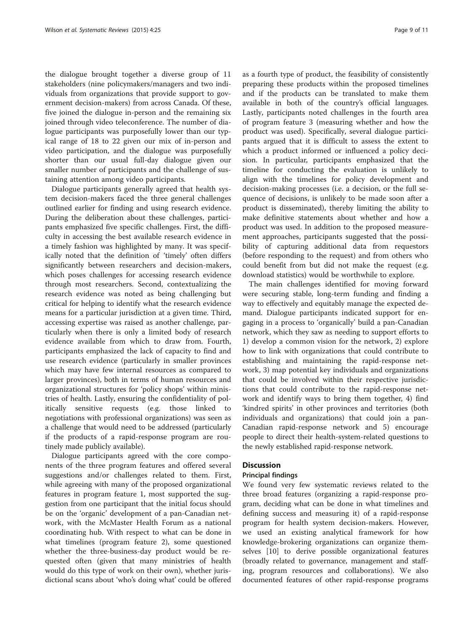the dialogue brought together a diverse group of 11 stakeholders (nine policymakers/managers and two individuals from organizations that provide support to government decision-makers) from across Canada. Of these, five joined the dialogue in-person and the remaining six joined through video teleconference. The number of dialogue participants was purposefully lower than our typical range of 18 to 22 given our mix of in-person and video participation, and the dialogue was purposefully shorter than our usual full-day dialogue given our smaller number of participants and the challenge of sustaining attention among video participants.

Dialogue participants generally agreed that health system decision-makers faced the three general challenges outlined earlier for finding and using research evidence. During the deliberation about these challenges, participants emphasized five specific challenges. First, the difficulty in accessing the best available research evidence in a timely fashion was highlighted by many. It was specifically noted that the definition of 'timely' often differs significantly between researchers and decision-makers, which poses challenges for accessing research evidence through most researchers. Second, contextualizing the research evidence was noted as being challenging but critical for helping to identify what the research evidence means for a particular jurisdiction at a given time. Third, accessing expertise was raised as another challenge, particularly when there is only a limited body of research evidence available from which to draw from. Fourth, participants emphasized the lack of capacity to find and use research evidence (particularly in smaller provinces which may have few internal resources as compared to larger provinces), both in terms of human resources and organizational structures for 'policy shops' within ministries of health. Lastly, ensuring the confidentiality of politically sensitive requests (e.g. those linked to negotiations with professional organizations) was seen as a challenge that would need to be addressed (particularly if the products of a rapid-response program are routinely made publicly available).

Dialogue participants agreed with the core components of the three program features and offered several suggestions and/or challenges related to them. First, while agreeing with many of the proposed organizational features in program feature 1, most supported the suggestion from one participant that the initial focus should be on the 'organic' development of a pan-Canadian network, with the McMaster Health Forum as a national coordinating hub. With respect to what can be done in what timelines (program feature 2), some questioned whether the three-business-day product would be requested often (given that many ministries of health would do this type of work on their own), whether jurisdictional scans about 'who's doing what' could be offered

as a fourth type of product, the feasibility of consistently preparing these products within the proposed timelines and if the products can be translated to make them available in both of the country's official languages. Lastly, participants noted challenges in the fourth area of program feature 3 (measuring whether and how the product was used). Specifically, several dialogue participants argued that it is difficult to assess the extent to which a product informed or influenced a policy decision. In particular, participants emphasized that the timeline for conducting the evaluation is unlikely to align with the timelines for policy development and

could benefit from but did not make the request (e.g. download statistics) would be worthwhile to explore. The main challenges identified for moving forward were securing stable, long-term funding and finding a way to effectively and equitably manage the expected demand. Dialogue participants indicated support for engaging in a process to 'organically' build a pan-Canadian network, which they saw as needing to support efforts to 1) develop a common vision for the network, 2) explore how to link with organizations that could contribute to establishing and maintaining the rapid-response network, 3) map potential key individuals and organizations that could be involved within their respective jurisdictions that could contribute to the rapid-response network and identify ways to bring them together, 4) find 'kindred spirits' in other provinces and territories (both individuals and organizations) that could join a pan-Canadian rapid-response network and 5) encourage people to direct their health-system-related questions to the newly established rapid-response network.

decision-making processes (i.e. a decision, or the full sequence of decisions, is unlikely to be made soon after a product is disseminated), thereby limiting the ability to make definitive statements about whether and how a product was used. In addition to the proposed measurement approaches, participants suggested that the possibility of capturing additional data from requestors (before responding to the request) and from others who

### **Discussion**

## Principal findings

We found very few systematic reviews related to the three broad features (organizing a rapid-response program, deciding what can be done in what timelines and defining success and measuring it) of a rapid-response program for health system decision-makers. However, we used an existing analytical framework for how knowledge-brokering organizations can organize themselves [[10\]](#page-10-0) to derive possible organizational features (broadly related to governance, management and staffing, program resources and collaborations). We also documented features of other rapid-response programs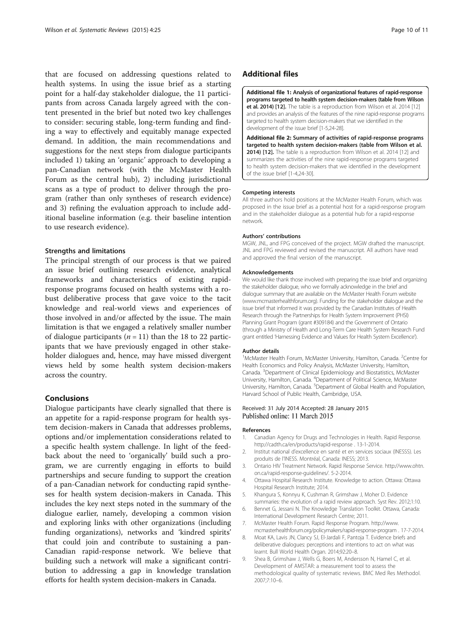<span id="page-9-0"></span>that are focused on addressing questions related to health systems. In using the issue brief as a starting point for a half-day stakeholder dialogue, the 11 participants from across Canada largely agreed with the content presented in the brief but noted two key challenges to consider: securing stable, long-term funding and finding a way to effectively and equitably manage expected demand. In addition, the main recommendations and suggestions for the next steps from dialogue participants included 1) taking an 'organic' approach to developing a pan-Canadian network (with the McMaster Health Forum as the central hub), 2) including jurisdictional scans as a type of product to deliver through the program (rather than only syntheses of research evidence) and 3) refining the evaluation approach to include additional baseline information (e.g. their baseline intention to use research evidence).

#### Strengths and limitations

The principal strength of our process is that we paired an issue brief outlining research evidence, analytical frameworks and characteristics of existing rapidresponse programs focused on health systems with a robust deliberative process that gave voice to the tacit knowledge and real-world views and experiences of those involved in and/or affected by the issue. The main limitation is that we engaged a relatively smaller number of dialogue participants ( $n = 11$ ) than the 18 to 22 participants that we have previously engaged in other stakeholder dialogues and, hence, may have missed divergent views held by some health system decision-makers across the country.

## Conclusions

Dialogue participants have clearly signalled that there is an appetite for a rapid-response program for health system decision-makers in Canada that addresses problems, options and/or implementation considerations related to a specific health system challenge. In light of the feedback about the need to 'organically' build such a program, we are currently engaging in efforts to build partnerships and secure funding to support the creation of a pan-Canadian network for conducting rapid syntheses for health system decision-makers in Canada. This includes the key next steps noted in the summary of the dialogue earlier, namely, developing a common vision and exploring links with other organizations (including funding organizations), networks and 'kindred spirits' that could join and contribute to sustaining a pan-Canadian rapid-response network. We believe that building such a network will make a significant contribution to addressing a gap in knowledge translation efforts for health system decision-makers in Canada.

## Additional files

[Additional file 1:](http://www.systematicreviewsjournal.com/content/supplementary/s13643-015-0009-3-s1.docx) Analysis of organizational features of rapid-response programs targeted to health system decision-makers (table from Wilson et al. 2014) [\[12](#page-10-0)]. The table is a reproduction from Wilson et al. 2014 [12] and provides an analysis of the features of the nine rapid-response programs targeted to health system decision-makers that we identified in the development of the issue brief [1-5,[24](#page-10-0)-[28\]](#page-10-0).

[Additional file 2:](http://www.systematicreviewsjournal.com/content/supplementary/s13643-015-0009-3-s2.doc) Summary of activities of rapid-response programs targeted to health system decision-makers (table from Wilson et al. 2014) [[12\]](#page-10-0). The table is a reproduction from Wilson et al. 2014 [\[12\]](#page-10-0) and summarizes the activities of the nine rapid-response programs targeted to health system decision-makers that we identified in the development of the issue brief [1-4[,24](#page-10-0)-[30\]](#page-10-0).

#### Competing interests

All three authors hold positions at the McMaster Health Forum, which was proposed in the issue brief as a potential host for a rapid-response program and in the stakeholder dialogue as a potential hub for a rapid-response network.

#### Authors' contributions

MGW, JNL, and FPG conceived of the project. MGW drafted the manuscript. JNL and FPG reviewed and revised the manuscript. All authors have read and approved the final version of the manuscript.

#### Acknowledgements

We would like thank those involved with preparing the issue brief and organizing the stakeholder dialogue, who we formally acknowledge in the brief and dialogue summary that are available on the McMaster Health Forum website [\(www.mcmasterhealthforum.org\)](http://www.mcmasterhealthforum.org/). Funding for the stakeholder dialogue and the issue brief that informed it was provided by the Canadian Institutes of Health Research through the Partnerships for Health System Improvement (PHSI) Planning Grant Program (grant #309184) and the Government of Ontario (through a Ministry of Health and Long-Term Care Health System Research Fund grant entitled 'Harnessing Evidence and Values for Health System Excellence').

#### Author details

<sup>1</sup>McMaster Health Forum, McMaster University, Hamilton, Canada. <sup>2</sup>Centre for Health Economics and Policy Analysis, McMaster University, Hamilton, Canada. <sup>3</sup> Department of Clinical Epidemiology and Biostatistics, McMaster University, Hamilton, Canada. <sup>4</sup> Department of Political Science, McMaster University, Hamilton, Canada. <sup>5</sup>Department of Global Health and Population, Harvard School of Public Health, Cambridge, USA.

#### Received: 31 July 2014 Accepted: 28 January 2015 Published online: 11 March 2015

#### References

- 1. Canadian Agency for Drugs and Technologies in Health. Rapid Response. <http://cadth.ca/en/products/rapid-response> . 13-1-2014.
- 2. Institut national d'excellence en santé et en services sociaux (INESSS). Les produits de l'INESS. Montréal, Canada: INESS; 2013.
- 3. Ontario HIV Treatment Network. Rapid Response Service. [http://www.ohtn.](http://www.ohtn.on.ca/rapid-response-guidelines/) [on.ca/rapid-response-guidelines/.](http://www.ohtn.on.ca/rapid-response-guidelines/) 5-2-2014.
- 4. Ottawa Hospital Research Institute. Knowledge to action. Ottawa: Ottawa Hospital Research Institute; 2014.
- 5. Khangura S, Konnyu K, Cushman R, Grimshaw J, Moher D. Evidence summaries: the evolution of a rapid review approach. Syst Rev. 2012;1:10.
- 6. Bennet G, Jessani N. The Knowledge Translation Toolkit. Ottawa, Canada: International Development Research Centre; 2011.
- 7. McMaster Health Forum. Rapid Response Program. [http://www.](http://www.mcmasterhealthforum.org/policymakers/rapid-response-program) [mcmasterhealthforum.org/policymakers/rapid-response-program](http://www.mcmasterhealthforum.org/policymakers/rapid-response-program) . 17-7-2014.
- 8. Moat KA, Lavis JN, Clancy SJ, El-Jardali F, Pantoja T. Evidence briefs and deliberative dialogues: perceptions and intentions to act on what was learnt. Bull World Health Organ. 2014;92:20–8.
- 9. Shea B, Grimshaw J, Wells G, Boers M, Andersson N, Hamel C, et al. Development of AMSTAR: a measurement tool to assess the methodological quality of systematic reviews. BMC Med Res Methodol. 2007;7:10–6.